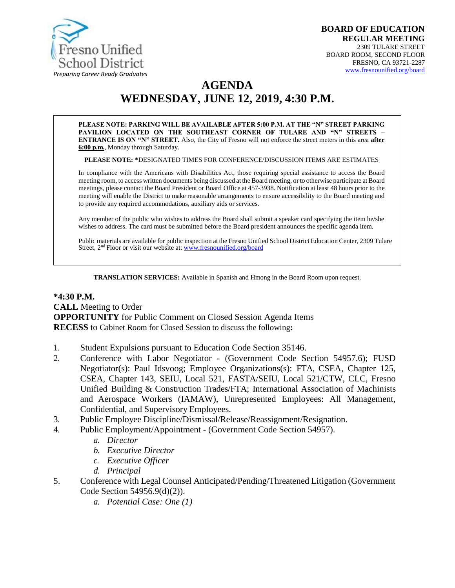

# **AGENDA WEDNESDAY, JUNE 12, 2019, 4:30 P.M.**

**PLEASE NOTE: PARKING WILL BE AVAILABLE AFTER 5:00 P.M. AT THE "N" STREET PARKING PAVILION LOCATED ON THE SOUTHEAST CORNER OF TULARE AND "N" STREETS – ENTRANCE IS ON "N" STREET.** Also, the City of Fresno will not enforce the street meters in this area **after 6:00 p.m.**, Monday through Saturday.

**PLEASE NOTE: \***DESIGNATED TIMES FOR CONFERENCE/DISCUSSION ITEMS ARE ESTIMATES

In compliance with the Americans with Disabilities Act, those requiring special assistance to access the Board meeting room, to access written documents being discussed at the Board meeting, or to otherwise participate at Board meetings, please contact the Board President or Board Office at 457-3938. Notification at least 48 hours prior to the meeting will enable the District to make reasonable arrangements to ensure accessibility to the Board meeting and to provide any required accommodations, auxiliary aids or services.

Any member of the public who wishes to address the Board shall submit a speaker card specifying the item he/she wishes to address. The card must be submitted before the Board president announces the specific agenda item.

Public materials are available for public inspection at the Fresno Unified School District Education Center, 2309 Tulare Street, 2<sup>nd</sup> Floor or visit our website at: **[www.fresnounified.org/board](http://www.fresnounified.org/board)** 

**TRANSLATION SERVICES:** Available in Spanish and Hmong in the Board Room upon request.

#### **\*4:30 P.M. CALL** Meeting to Order **OPPORTUNITY** for Public Comment on Closed Session Agenda Items **RECESS** to Cabinet Room for Closed Session to discuss the following**:**

- 1. Student Expulsions pursuant to Education Code Section 35146.
- 2. Conference with Labor Negotiator (Government Code Section 54957.6); FUSD Negotiator(s): Paul Idsvoog; Employee Organizations(s): FTA, CSEA, Chapter 125, CSEA, Chapter 143, SEIU, Local 521, FASTA/SEIU, Local 521/CTW, CLC, Fresno Unified Building & Construction Trades/FTA; International Association of Machinists and Aerospace Workers (IAMAW), Unrepresented Employees: All Management, Confidential, and Supervisory Employees.
- 3. Public Employee Discipline/Dismissal/Release/Reassignment/Resignation.
- 4. Public Employment/Appointment (Government Code Section 54957).
	- *a. Director*
	- *b. Executive Director*
	- *c. Executive Officer*
	- *d. Principal*
- 5. Conference with Legal Counsel Anticipated/Pending/Threatened Litigation (Government Code Section 54956.9(d)(2)).
	- *a. Potential Case: One (1)*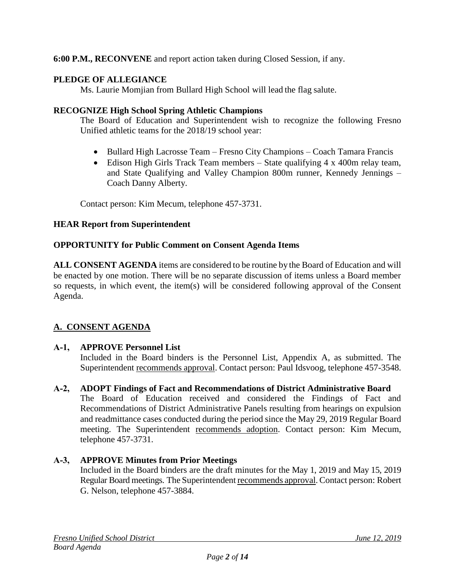**6:00 P.M., RECONVENE** and report action taken during Closed Session, if any.

# **PLEDGE OF ALLEGIANCE**

Ms. Laurie Momjian from Bullard High School will lead the flag salute.

### **RECOGNIZE High School Spring Athletic Champions**

The Board of Education and Superintendent wish to recognize the following Fresno Unified athletic teams for the 2018/19 school year:

- Bullard High Lacrosse Team Fresno City Champions Coach Tamara Francis
- Edison High Girls Track Team members State qualifying 4 x 400m relay team, and State Qualifying and Valley Champion 800m runner, Kennedy Jennings – Coach Danny Alberty.

Contact person: Kim Mecum, telephone 457-3731.

# **HEAR Report from Superintendent**

### **OPPORTUNITY for Public Comment on Consent Agenda Items**

**ALL CONSENT AGENDA** items are considered to be routine by the Board of Education and will be enacted by one motion. There will be no separate discussion of items unless a Board member so requests, in which event, the item(s) will be considered following approval of the Consent Agenda.

# **A. CONSENT AGENDA**

# **A-1, APPROVE Personnel List**

Included in the Board binders is the Personnel List, Appendix A, as submitted. The Superintendent recommends approval. Contact person: Paul Idsvoog, telephone 457-3548.

### **A-2, ADOPT Findings of Fact and Recommendations of District Administrative Board**

The Board of Education received and considered the Findings of Fact and Recommendations of District Administrative Panels resulting from hearings on expulsion and readmittance cases conducted during the period since the May 29, 2019 Regular Board meeting. The Superintendent recommends adoption. Contact person: Kim Mecum, telephone 457-3731.

### **A-3, APPROVE Minutes from Prior Meetings**

Included in the Board binders are the draft minutes for the May 1, 2019 and May 15, 2019 Regular Board meetings. The Superintendent recommends approval. Contact person: Robert G. Nelson, telephone 457-3884.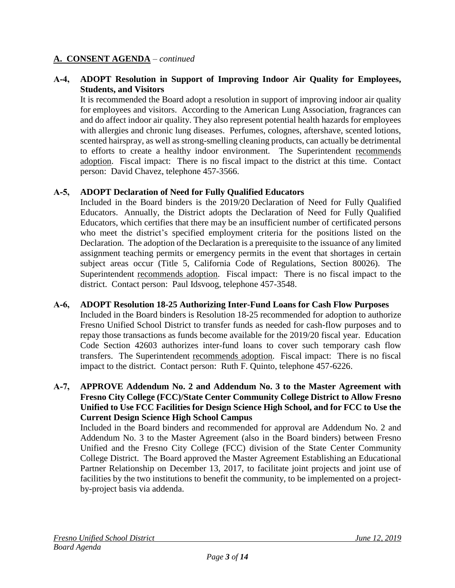### **A-4, ADOPT Resolution in Support of Improving Indoor Air Quality for Employees, Students, and Visitors**

It is recommended the Board adopt a resolution in support of improving indoor air quality for employees and visitors. According to the American Lung Association, fragrances can and do affect indoor air quality. They also represent potential health hazards for employees with allergies and chronic lung diseases. Perfumes, colognes, aftershave, scented lotions, scented hairspray, as well as strong-smelling cleaning products, can actually be detrimental to efforts to create a healthy indoor environment. The Superintendent recommends adoption. Fiscal impact: There is no fiscal impact to the district at this time. Contact person: David Chavez, telephone 457-3566.

### **A-5, ADOPT Declaration of Need for Fully Qualified Educators**

Included in the Board binders is the 2019/20 Declaration of Need for Fully Qualified Educators. Annually, the District adopts the Declaration of Need for Fully Qualified Educators, which certifies that there may be an insufficient number of certificated persons who meet the district's specified employment criteria for the positions listed on the Declaration. The adoption of the Declaration is a prerequisite to the issuance of any limited assignment teaching permits or emergency permits in the event that shortages in certain subject areas occur (Title 5, California Code of Regulations, Section 80026). The Superintendent recommends adoption. Fiscal impact: There is no fiscal impact to the district. Contact person: Paul Idsvoog, telephone 457-3548.

### **A-6, ADOPT Resolution 18-25 Authorizing Inter-Fund Loans for Cash Flow Purposes**

Included in the Board binders is Resolution 18-25 recommended for adoption to authorize Fresno Unified School District to transfer funds as needed for cash-flow purposes and to repay those transactions as funds become available for the 2019/20 fiscal year. Education Code Section 42603 authorizes inter-fund loans to cover such temporary cash flow transfers. The Superintendent recommends adoption. Fiscal impact: There is no fiscal impact to the district. Contact person: Ruth F. Quinto, telephone 457-6226.

### **A-7, APPROVE Addendum No. 2 and Addendum No. 3 to the Master Agreement with Fresno City College (FCC)/State Center Community College District to Allow Fresno Unified to Use FCC Facilities for Design Science High School, and for FCC to Use the Current Design Science High School Campus**

Included in the Board binders and recommended for approval are Addendum No. 2 and Addendum No. 3 to the Master Agreement (also in the Board binders) between Fresno Unified and the Fresno City College (FCC) division of the State Center Community College District. The Board approved the Master Agreement Establishing an Educational Partner Relationship on December 13, 2017, to facilitate joint projects and joint use of facilities by the two institutions to benefit the community, to be implemented on a projectby-project basis via addenda.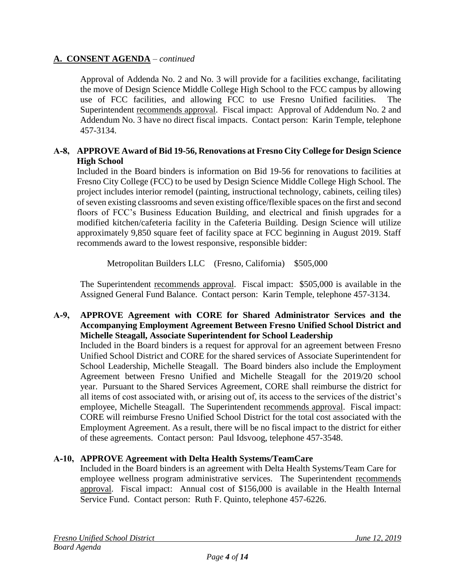Approval of Addenda No. 2 and No. 3 will provide for a facilities exchange, facilitating the move of Design Science Middle College High School to the FCC campus by allowing use of FCC facilities, and allowing FCC to use Fresno Unified facilities. The Superintendent recommends approval. Fiscal impact: Approval of Addendum No. 2 and Addendum No. 3 have no direct fiscal impacts. Contact person: Karin Temple, telephone 457-3134.

### **A-8, APPROVE Award of Bid 19-56, Renovations at Fresno City College for Design Science High School**

Included in the Board binders is information on Bid 19-56 for renovations to facilities at Fresno City College (FCC) to be used by Design Science Middle College High School. The project includes interior remodel (painting, instructional technology, cabinets, ceiling tiles) of seven existing classrooms and seven existing office/flexible spaces on the first and second floors of FCC's Business Education Building, and electrical and finish upgrades for a modified kitchen/cafeteria facility in the Cafeteria Building. Design Science will utilize approximately 9,850 square feet of facility space at FCC beginning in August 2019. Staff recommends award to the lowest responsive, responsible bidder:

Metropolitan Builders LLC (Fresno, California) \$505,000

The Superintendent recommends approval. Fiscal impact: \$505,000 is available in the Assigned General Fund Balance. Contact person: Karin Temple, telephone 457-3134.

### **A-9, APPROVE Agreement with CORE for Shared Administrator Services and the Accompanying Employment Agreement Between Fresno Unified School District and Michelle Steagall, Associate Superintendent for School Leadership**

Included in the Board binders is a request for approval for an agreement between Fresno Unified School District and CORE for the shared services of Associate Superintendent for School Leadership, Michelle Steagall. The Board binders also include the Employment Agreement between Fresno Unified and Michelle Steagall for the 2019/20 school year. Pursuant to the Shared Services Agreement, CORE shall reimburse the district for all items of cost associated with, or arising out of, its access to the services of the district's employee, Michelle Steagall. The Superintendent recommends approval. Fiscal impact: CORE will reimburse Fresno Unified School District for the total cost associated with the Employment Agreement. As a result, there will be no fiscal impact to the district for either of these agreements. Contact person: Paul Idsvoog, telephone 457-3548.

### **A-10, APPROVE Agreement with Delta Health Systems/TeamCare**

Included in the Board binders is an agreement with Delta Health Systems/Team Care for employee wellness program administrative services. The Superintendent recommends approval. Fiscal impact: Annual cost of \$156,000 is available in the Health Internal Service Fund. Contact person: Ruth F. Quinto, telephone 457-6226.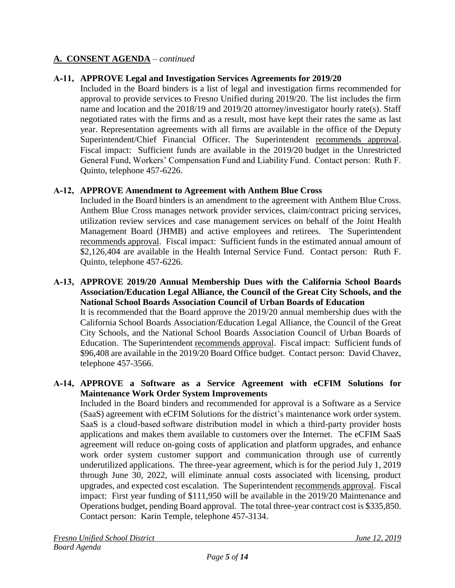### **A-11, APPROVE Legal and Investigation Services Agreements for 2019/20**

Included in the Board binders is a list of legal and investigation firms recommended for approval to provide services to Fresno Unified during 2019/20. The list includes the firm name and location and the 2018/19 and 2019/20 attorney/investigator hourly rate(s). Staff negotiated rates with the firms and as a result, most have kept their rates the same as last year. Representation agreements with all firms are available in the office of the Deputy Superintendent/Chief Financial Officer. The Superintendent recommends approval. Fiscal impact: Sufficient funds are available in the 2019/20 budget in the Unrestricted General Fund, Workers' Compensation Fund and Liability Fund. Contact person: Ruth F. Quinto, telephone 457-6226.

### **A-12, APPROVE Amendment to Agreement with Anthem Blue Cross**

Included in the Board binders is an amendment to the agreement with Anthem Blue Cross. Anthem Blue Cross manages network provider services, claim/contract pricing services, utilization review services and case management services on behalf of the Joint Health Management Board (JHMB) and active employees and retirees. The Superintendent recommends approval. Fiscal impact: Sufficient funds in the estimated annual amount of \$2,126,404 are available in the Health Internal Service Fund. Contact person: Ruth F. Quinto, telephone 457-6226.

**A-13, APPROVE 2019/20 Annual Membership Dues with the California School Boards Association/Education Legal Alliance, the Council of the Great City Schools, and the National School Boards Association Council of Urban Boards of Education** It is recommended that the Board approve the 2019/20 annual membership dues with the California School Boards Association/Education Legal Alliance, the Council of the Great City Schools, and the National School Boards Association Council of Urban Boards of Education. The Superintendent recommends approval. Fiscal impact: Sufficient funds of \$96,408 are available in the 2019/20 Board Office budget. Contact person: David Chavez, telephone 457-3566.

### **A-14, APPROVE a Software as a Service Agreement with eCFIM Solutions for Maintenance Work Order System Improvements**

Included in the Board binders and recommended for approval is a Software as a Service (SaaS) agreement with eCFIM Solutions for the district's maintenance work order system. SaaS is a cloud-based software distribution model in which a third-party provider hosts applications and makes them available to customers over the Internet. The eCFIM SaaS agreement will reduce on-going costs of application and platform upgrades, and enhance work order system customer support and communication through use of currently underutilized applications. The three-year agreement, which is for the period July 1, 2019 through June 30, 2022, will eliminate annual costs associated with licensing, product upgrades, and expected cost escalation. The Superintendent recommends approval. Fiscal impact: First year funding of \$111,950 will be available in the 2019/20 Maintenance and Operations budget, pending Board approval. The total three-year contract cost is \$335,850. Contact person: Karin Temple, telephone 457-3134.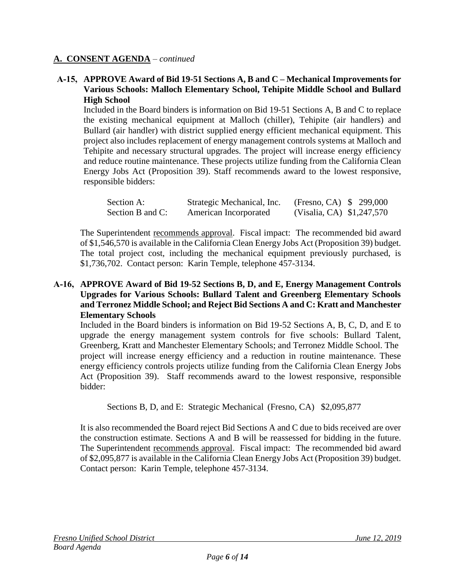### **A-15, APPROVE Award of Bid 19-51 Sections A, B and C – Mechanical Improvements for Various Schools: Malloch Elementary School, Tehipite Middle School and Bullard High School**

Included in the Board binders is information on Bid 19-51 Sections A, B and C to replace the existing mechanical equipment at Malloch (chiller), Tehipite (air handlers) and Bullard (air handler) with district supplied energy efficient mechanical equipment. This project also includes replacement of energy management controls systems at Malloch and Tehipite and necessary structural upgrades. The project will increase energy efficiency and reduce routine maintenance. These projects utilize funding from the California Clean Energy Jobs Act (Proposition 39). Staff recommends award to the lowest responsive, responsible bidders:

| Section A:       | Strategic Mechanical, Inc. | (Fresno, CA) \$ 299,000   |  |
|------------------|----------------------------|---------------------------|--|
| Section B and C: | American Incorporated      | (Visalia, CA) \$1,247,570 |  |

The Superintendent recommends approval. Fiscal impact: The recommended bid award of \$1,546,570 is available in the California Clean Energy Jobs Act (Proposition 39) budget. The total project cost, including the mechanical equipment previously purchased, is \$1,736,702. Contact person: Karin Temple, telephone 457-3134.

#### **A-16, APPROVE Award of Bid 19-52 Sections B, D, and E, Energy Management Controls Upgrades for Various Schools: Bullard Talent and Greenberg Elementary Schools and Terronez Middle School; and Reject Bid Sections A and C: Kratt and Manchester Elementary Schools**

Included in the Board binders is information on Bid 19-52 Sections A, B, C, D, and E to upgrade the energy management system controls for five schools: Bullard Talent, Greenberg, Kratt and Manchester Elementary Schools; and Terronez Middle School. The project will increase energy efficiency and a reduction in routine maintenance. These energy efficiency controls projects utilize funding from the California Clean Energy Jobs Act (Proposition 39). Staff recommends award to the lowest responsive, responsible bidder:

Sections B, D, and E: Strategic Mechanical (Fresno, CA) \$2,095,877

It is also recommended the Board reject Bid Sections A and C due to bids received are over the construction estimate. Sections A and B will be reassessed for bidding in the future. The Superintendent recommends approval. Fiscal impact: The recommended bid award of \$2,095,877 is available in the California Clean Energy Jobs Act (Proposition 39) budget. Contact person: Karin Temple, telephone 457-3134.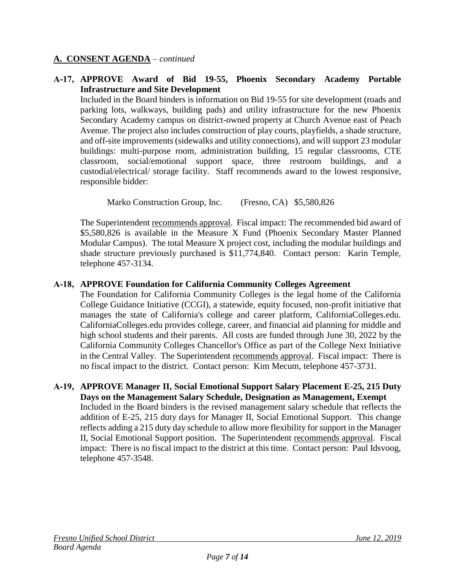### **A-17, APPROVE Award of Bid 19-55, Phoenix Secondary Academy Portable Infrastructure and Site Development**

Included in the Board binders is information on Bid 19-55 for site development (roads and parking lots, walkways, building pads) and utility infrastructure for the new Phoenix Secondary Academy campus on district-owned property at Church Avenue east of Peach Avenue. The project also includes construction of play courts, playfields, a shade structure, and off-site improvements (sidewalks and utility connections), and will support 23 modular buildings: multi-purpose room, administration building, 15 regular classrooms, CTE classroom, social/emotional support space, three restroom buildings, and a custodial/electrical/ storage facility. Staff recommends award to the lowest responsive, responsible bidder:

Marko Construction Group, Inc. (Fresno, CA) \$5,580,826

The Superintendent recommends approval. Fiscal impact: The recommended bid award of \$5,580,826 is available in the Measure X Fund (Phoenix Secondary Master Planned Modular Campus). The total Measure X project cost, including the modular buildings and shade structure previously purchased is \$11,774,840. Contact person: Karin Temple, telephone 457-3134.

### **A-18, APPROVE Foundation for California Community Colleges Agreement**

The Foundation for California Community Colleges is the legal home of the California College Guidance Initiative (CCGI), a statewide, equity focused, non-profit initiative that manages the state of California's college and career platform, CaliforniaColleges.edu. CaliforniaColleges.edu provides college, career, and financial aid planning for middle and high school students and their parents. All costs are funded through June 30, 2022 by the California Community Colleges Chancellor's Office as part of the College Next Initiative in the Central Valley. The Superintendent recommends approval. Fiscal impact: There is no fiscal impact to the district. Contact person: Kim Mecum, telephone 457-3731.

#### **A-19, APPROVE Manager II, Social Emotional Support Salary Placement E-25, 215 Duty Days on the Management Salary Schedule, Designation as Management, Exempt**

Included in the Board binders is the revised management salary schedule that reflects the addition of E-25, 215 duty days for Manager II, Social Emotional Support. This change reflects adding a 215 duty day schedule to allow more flexibility for support in the Manager II, Social Emotional Support position. The Superintendent recommends approval. Fiscal impact: There is no fiscal impact to the district at this time. Contact person: Paul Idsvoog, telephone 457-3548.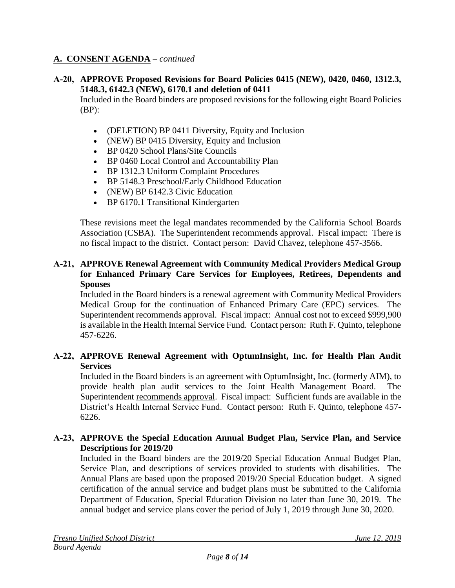### **A-20, APPROVE Proposed Revisions for Board Policies 0415 (NEW), 0420, 0460, 1312.3, 5148.3, 6142.3 (NEW), 6170.1 and deletion of 0411**

Included in the Board binders are proposed revisions for the following eight Board Policies (BP):

- (DELETION) BP 0411 Diversity, Equity and Inclusion
- (NEW) BP 0415 Diversity, Equity and Inclusion
- BP 0420 School Plans/Site Councils
- BP 0460 Local Control and Accountability Plan
- BP 1312.3 Uniform Complaint Procedures
- BP 5148.3 Preschool/Early Childhood Education
- (NEW) BP 6142.3 Civic Education
- BP 6170.1 Transitional Kindergarten

These revisions meet the legal mandates recommended by the California School Boards Association (CSBA). The Superintendent recommends approval. Fiscal impact: There is no fiscal impact to the district. Contact person: David Chavez, telephone 457-3566.

#### **A-21, APPROVE Renewal Agreement with Community Medical Providers Medical Group for Enhanced Primary Care Services for Employees, Retirees, Dependents and Spouses**

Included in the Board binders is a renewal agreement with Community Medical Providers Medical Group for the continuation of Enhanced Primary Care (EPC) services. The Superintendent recommends approval. Fiscal impact: Annual cost not to exceed \$999,900 is available in the Health Internal Service Fund. Contact person: Ruth F. Quinto, telephone 457-6226.

### **A-22, APPROVE Renewal Agreement with OptumInsight, Inc. for Health Plan Audit Services**

Included in the Board binders is an agreement with OptumInsight, Inc. (formerly AIM), to provide health plan audit services to the Joint Health Management Board. Superintendent recommends approval. Fiscal impact: Sufficient funds are available in the District's Health Internal Service Fund. Contact person: Ruth F. Quinto, telephone 457- 6226.

### **A-23, APPROVE the Special Education Annual Budget Plan, Service Plan, and Service Descriptions for 2019/20**

Included in the Board binders are the 2019/20 Special Education Annual Budget Plan, Service Plan, and descriptions of services provided to students with disabilities. The Annual Plans are based upon the proposed 2019/20 Special Education budget. A signed certification of the annual service and budget plans must be submitted to the California Department of Education, Special Education Division no later than June 30, 2019. The annual budget and service plans cover the period of July 1, 2019 through June 30, 2020.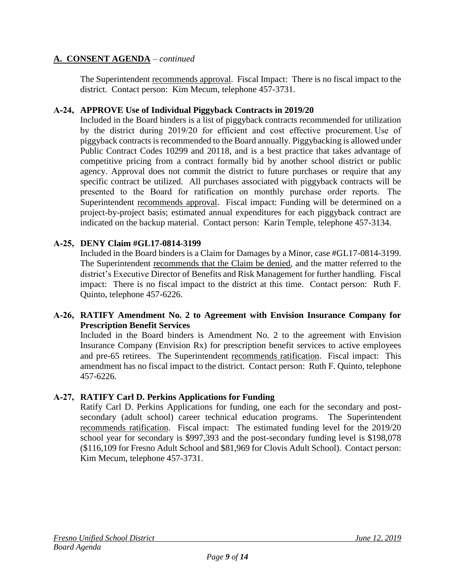The Superintendent recommends approval. Fiscal Impact: There is no fiscal impact to the district. Contact person: Kim Mecum, telephone 457-3731.

### **A-24, APPROVE Use of Individual Piggyback Contracts in 2019/20**

Included in the Board binders is a list of piggyback contracts recommended for utilization by the district during 2019/20 for efficient and cost effective procurement. Use of piggyback contracts is recommended to the Board annually. Piggybacking is allowed under Public Contract Codes 10299 and 20118, and is a best practice that takes advantage of competitive pricing from a contract formally bid by another school district or public agency. Approval does not commit the district to future purchases or require that any specific contract be utilized. All purchases associated with piggyback contracts will be presented to the Board for ratification on monthly purchase order reports.  The Superintendent recommends approval. Fiscal impact: Funding will be determined on a project-by-project basis; estimated annual expenditures for each piggyback contract are indicated on the backup material. Contact person: Karin Temple, telephone 457-3134.

# **A-25, DENY Claim #GL17-0814-3199**

Included in the Board binders is a Claim for Damages by a Minor, case #GL17-0814-3199. The Superintendent recommends that the Claim be denied, and the matter referred to the district's Executive Director of Benefits and Risk Management for further handling. Fiscal impact: There is no fiscal impact to the district at this time. Contact person: Ruth F. Quinto, telephone 457-6226.

### **A-26, RATIFY Amendment No. 2 to Agreement with Envision Insurance Company for Prescription Benefit Services**

Included in the Board binders is Amendment No. 2 to the agreement with Envision Insurance Company (Envision Rx) for prescription benefit services to active employees and pre-65 retirees. The Superintendent recommends ratification. Fiscal impact: This amendment has no fiscal impact to the district. Contact person: Ruth F. Quinto, telephone 457-6226.

# **A-27, RATIFY Carl D. Perkins Applications for Funding**

Ratify Carl D. Perkins Applications for funding, one each for the secondary and postsecondary (adult school) career technical education programs. The Superintendent recommends ratification. Fiscal impact: The estimated funding level for the 2019/20 school year for secondary is \$997,393 and the post-secondary funding level is \$198,078 (\$116,109 for Fresno Adult School and \$81,969 for Clovis Adult School). Contact person: Kim Mecum, telephone 457-3731.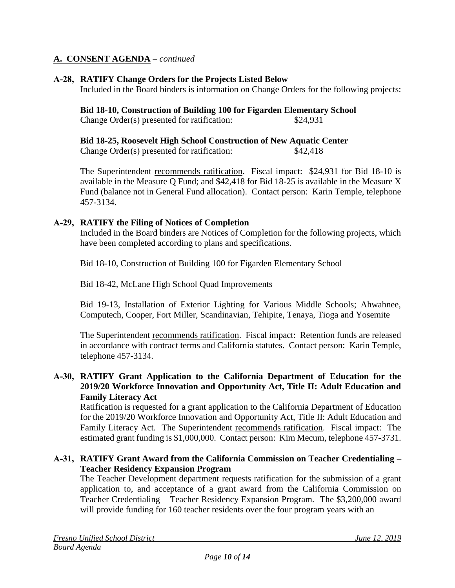### **A-28, RATIFY Change Orders for the Projects Listed Below**

Included in the Board binders is information on Change Orders for the following projects:

**Bid 18-10, Construction of Building 100 for Figarden Elementary School** Change Order(s) presented for ratification: \$24,931

**Bid 18-25, Roosevelt High School Construction of New Aquatic Center**

Change Order(s) presented for ratification: \$42,418

The Superintendent recommends ratification. Fiscal impact: \$24,931 for Bid 18-10 is available in the Measure Q Fund; and \$42,418 for Bid 18-25 is available in the Measure X Fund (balance not in General Fund allocation). Contact person: Karin Temple, telephone 457-3134.

### **A-29, RATIFY the Filing of Notices of Completion**

Included in the Board binders are Notices of Completion for the following projects, which have been completed according to plans and specifications.

Bid 18-10, Construction of Building 100 for Figarden Elementary School

Bid 18-42, McLane High School Quad Improvements

Bid 19-13, Installation of Exterior Lighting for Various Middle Schools; Ahwahnee, Computech, Cooper, Fort Miller, Scandinavian, Tehipite, Tenaya, Tioga and Yosemite

The Superintendent recommends ratification. Fiscal impact: Retention funds are released in accordance with contract terms and California statutes. Contact person: Karin Temple, telephone 457-3134.

### **A-30, RATIFY Grant Application to the California Department of Education for the 2019/20 Workforce Innovation and Opportunity Act, Title II: Adult Education and Family Literacy Act**

Ratification is requested for a grant application to the California Department of Education for the 2019/20 Workforce Innovation and Opportunity Act, Title II: Adult Education and Family Literacy Act. The Superintendent recommends ratification. Fiscal impact: The estimated grant funding is \$1,000,000. Contact person: Kim Mecum, telephone 457-3731.

#### **A-31, RATIFY Grant Award from the California Commission on Teacher Credentialing – Teacher Residency Expansion Program**

The Teacher Development department requests ratification for the submission of a grant application to, and acceptance of a grant award from the California Commission on Teacher Credentialing – Teacher Residency Expansion Program. The \$3,200,000 award will provide funding for 160 teacher residents over the four program years with an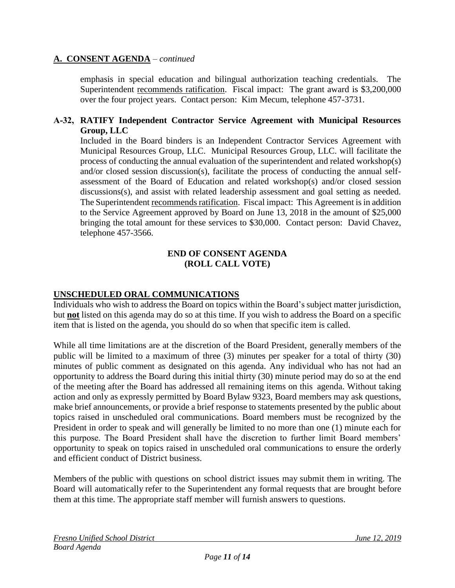emphasis in special education and bilingual authorization teaching credentials. The Superintendent recommends ratification. Fiscal impact: The grant award is \$3,200,000 over the four project years. Contact person: Kim Mecum, telephone 457-3731.

### **A-32, RATIFY Independent Contractor Service Agreement with Municipal Resources Group, LLC**

Included in the Board binders is an Independent Contractor Services Agreement with Municipal Resources Group, LLC. Municipal Resources Group, LLC. will facilitate the process of conducting the annual evaluation of the superintendent and related workshop(s) and/or closed session discussion(s), facilitate the process of conducting the annual selfassessment of the Board of Education and related workshop(s) and/or closed session discussions(s), and assist with related leadership assessment and goal setting as needed. The Superintendent recommends ratification. Fiscal impact: This Agreement is in addition to the Service Agreement approved by Board on June 13, 2018 in the amount of \$25,000 bringing the total amount for these services to \$30,000. Contact person: David Chavez, telephone 457-3566.

#### **END OF CONSENT AGENDA (ROLL CALL VOTE)**

### **UNSCHEDULED ORAL COMMUNICATIONS**

Individuals who wish to address the Board on topics within the Board's subject matter jurisdiction, but **not** listed on this agenda may do so at this time. If you wish to address the Board on a specific item that is listed on the agenda, you should do so when that specific item is called.

While all time limitations are at the discretion of the Board President, generally members of the public will be limited to a maximum of three (3) minutes per speaker for a total of thirty (30) minutes of public comment as designated on this agenda. Any individual who has not had an opportunity to address the Board during this initial thirty (30) minute period may do so at the end of the meeting after the Board has addressed all remaining items on this agenda. Without taking action and only as expressly permitted by Board Bylaw 9323, Board members may ask questions, make brief announcements, or provide a brief response to statements presented by the public about topics raised in unscheduled oral communications. Board members must be recognized by the President in order to speak and will generally be limited to no more than one (1) minute each for this purpose. The Board President shall have the discretion to further limit Board members' opportunity to speak on topics raised in unscheduled oral communications to ensure the orderly and efficient conduct of District business.

Members of the public with questions on school district issues may submit them in writing. The Board will automatically refer to the Superintendent any formal requests that are brought before them at this time. The appropriate staff member will furnish answers to questions.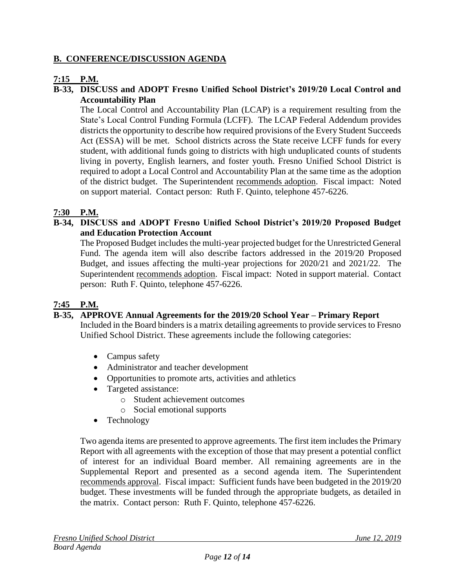### **B. CONFERENCE/DISCUSSION AGENDA**

# **7:15 P.M.**

### **B-33, DISCUSS and ADOPT Fresno Unified School District's 2019/20 Local Control and Accountability Plan**

The Local Control and Accountability Plan (LCAP) is a requirement resulting from the State's Local Control Funding Formula (LCFF). The LCAP Federal Addendum provides districts the opportunity to describe how required provisions of the Every Student Succeeds Act (ESSA) will be met. School districts across the State receive LCFF funds for every student, with additional funds going to districts with high unduplicated counts of students living in poverty, English learners, and foster youth. Fresno Unified School District is required to adopt a Local Control and Accountability Plan at the same time as the adoption of the district budget. The Superintendent recommends adoption. Fiscal impact: Noted on support material. Contact person: Ruth F. Quinto, telephone 457-6226.

### **7:30 P.M.**

### **B-34, DISCUSS and ADOPT Fresno Unified School District's 2019/20 Proposed Budget and Education Protection Account**

The Proposed Budget includes the multi-year projected budget for the Unrestricted General Fund. The agenda item will also describe factors addressed in the 2019/20 Proposed Budget, and issues affecting the multi-year projections for 2020/21 and 2021/22. The Superintendent recommends adoption. Fiscal impact: Noted in support material. Contact person: Ruth F. Quinto, telephone 457-6226.

### **7:45 P.M.**

### **B-35, APPROVE Annual Agreements for the 2019/20 School Year – Primary Report**

Included in the Board binders is a matrix detailing agreements to provide services to Fresno Unified School District. These agreements include the following categories:

- Campus safety
- Administrator and teacher development
- Opportunities to promote arts, activities and athletics
- Targeted assistance:
	- o Student achievement outcomes
	- o Social emotional supports
- Technology

Two agenda items are presented to approve agreements. The first item includes the Primary Report with all agreements with the exception of those that may present a potential conflict of interest for an individual Board member. All remaining agreements are in the Supplemental Report and presented as a second agenda item. The Superintendent recommends approval. Fiscal impact: Sufficient funds have been budgeted in the 2019/20 budget. These investments will be funded through the appropriate budgets, as detailed in the matrix. Contact person: Ruth F. Quinto, telephone 457-6226.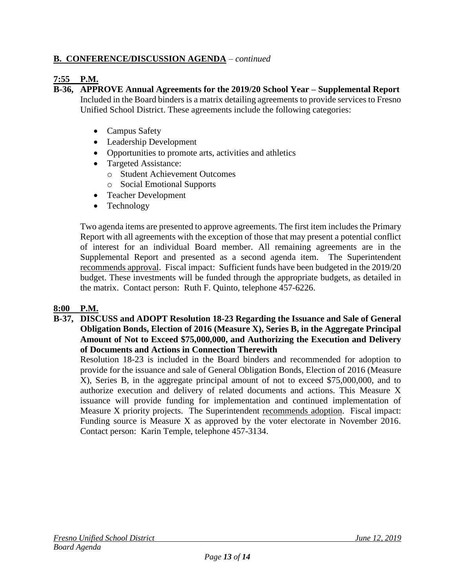# **B. CONFERENCE/DISCUSSION AGENDA** – *continued*

### **7:55 P.M.**

**B-36, APPROVE Annual Agreements for the 2019/20 School Year – Supplemental Report**

Included in the Board binders is a matrix detailing agreements to provide services to Fresno Unified School District. These agreements include the following categories:

- Campus Safety
- Leadership Development
- Opportunities to promote arts, activities and athletics
- Targeted Assistance:
	- o Student Achievement Outcomes
	- o Social Emotional Supports
- Teacher Development
- Technology

Two agenda items are presented to approve agreements. The first item includes the Primary Report with all agreements with the exception of those that may present a potential conflict of interest for an individual Board member. All remaining agreements are in the Supplemental Report and presented as a second agenda item. The Superintendent recommends approval. Fiscal impact: Sufficient funds have been budgeted in the 2019/20 budget. These investments will be funded through the appropriate budgets, as detailed in the matrix. Contact person: Ruth F. Quinto, telephone 457-6226.

### **8:00 P.M.**

**B-37, DISCUSS and ADOPT Resolution 18-23 Regarding the Issuance and Sale of General Obligation Bonds, Election of 2016 (Measure X), Series B, in the Aggregate Principal Amount of Not to Exceed \$75,000,000, and Authorizing the Execution and Delivery of Documents and Actions in Connection Therewith** 

Resolution 18-23 is included in the Board binders and recommended for adoption to provide for the issuance and sale of General Obligation Bonds, Election of 2016 (Measure X), Series B, in the aggregate principal amount of not to exceed \$75,000,000, and to authorize execution and delivery of related documents and actions. This Measure X issuance will provide funding for implementation and continued implementation of Measure X priority projects. The Superintendent recommends adoption. Fiscal impact: Funding source is Measure X as approved by the voter electorate in November 2016. Contact person: Karin Temple, telephone 457-3134.